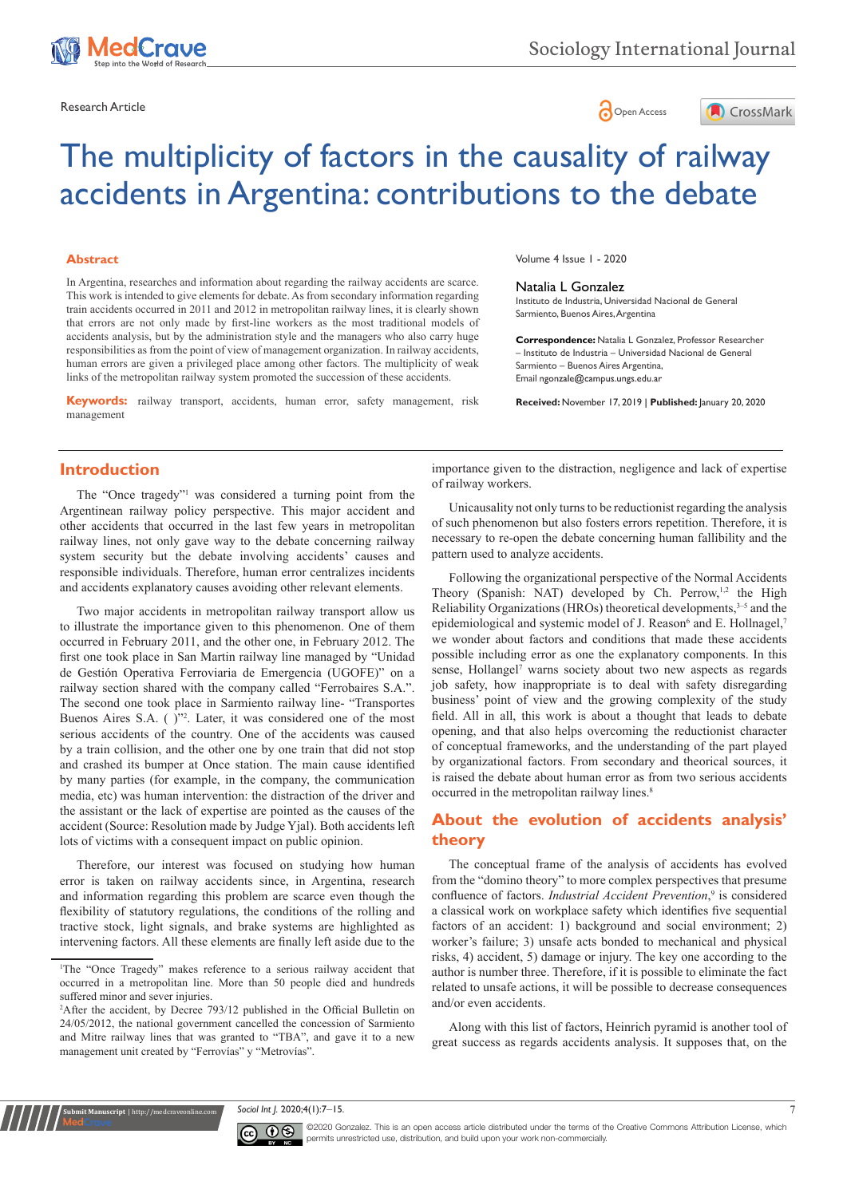

Research Article **Contracts and Contracts and Contracts and Contracts and Contracts and Contracts and Copen Access** 



# The multiplicity of factors in the causality of railway accidents in Argentina: contributions to the debate

#### **Abstract**

In Argentina, researches and information about regarding the railway accidents are scarce. This work is intended to give elements for debate. As from secondary information regarding train accidents occurred in 2011 and 2012 in metropolitan railway lines, it is clearly shown that errors are not only made by first-line workers as the most traditional models of accidents analysis, but by the administration style and the managers who also carry huge responsibilities as from the point of view of management organization. In railway accidents, human errors are given a privileged place among other factors. The multiplicity of weak links of the metropolitan railway system promoted the succession of these accidents.

**Keywords:** railway transport, accidents, human error, safety management, risk management

Volume 4 Issue 1 - 2020

#### Natalia L Gonzalez

Instituto de Industria, Universidad Nacional de General Sarmiento, Buenos Aires, Argentina

**Correspondence:** Natalia L Gonzalez, Professor Researcher – Instituto de Industria – Universidad Nacional de General Sarmiento – Buenos Aires Argentina, Email ngonzale@campus.ungs.edu.ar

**Received:** November 17, 2019 | **Published:** January 20, 2020

## **Introduction**

The "Once tragedy"1 was considered a turning point from the Argentinean railway policy perspective. This major accident and other accidents that occurred in the last few years in metropolitan railway lines, not only gave way to the debate concerning railway system security but the debate involving accidents' causes and responsible individuals. Therefore, human error centralizes incidents and accidents explanatory causes avoiding other relevant elements.

Two major accidents in metropolitan railway transport allow us to illustrate the importance given to this phenomenon. One of them occurred in February 2011, and the other one, in February 2012. The first one took place in San Martin railway line managed by "Unidad de Gestión Operativa Ferroviaria de Emergencia (UGOFE)" on a railway section shared with the company called "Ferrobaires S.A.". The second one took place in Sarmiento railway line- "Transportes Buenos Aires S.A. ( )"<sup>2</sup>. Later, it was considered one of the most serious accidents of the country. One of the accidents was caused by a train collision, and the other one by one train that did not stop and crashed its bumper at Once station. The main cause identified by many parties (for example, in the company, the communication media, etc) was human intervention: the distraction of the driver and the assistant or the lack of expertise are pointed as the causes of the accident (Source: Resolution made by Judge Yjal). Both accidents left lots of victims with a consequent impact on public opinion.

Therefore, our interest was focused on studying how human error is taken on railway accidents since, in Argentina, research and information regarding this problem are scarce even though the flexibility of statutory regulations, the conditions of the rolling and tractive stock, light signals, and brake systems are highlighted as intervening factors. All these elements are finally left aside due to the

**it Manuscript** | http://medcraveonline.

importance given to the distraction, negligence and lack of expertise of railway workers.

Unicausality not only turns to be reductionist regarding the analysis of such phenomenon but also fosters errors repetition. Therefore, it is necessary to re-open the debate concerning human fallibility and the pattern used to analyze accidents.

Following the organizational perspective of the Normal Accidents Theory (Spanish: NAT) developed by Ch. Perrow, $1,2$  the High Reliability Organizations (HROs) theoretical developments, $3-5$  and the epidemiological and systemic model of J. Reason<sup>6</sup> and E. Hollnagel,<sup>7</sup> we wonder about factors and conditions that made these accidents possible including error as one the explanatory components. In this sense, Hollangel<sup>7</sup> warns society about two new aspects as regards job safety, how inappropriate is to deal with safety disregarding business' point of view and the growing complexity of the study field. All in all, this work is about a thought that leads to debate opening, and that also helps overcoming the reductionist character of conceptual frameworks, and the understanding of the part played by organizational factors. From secondary and theorical sources, it is raised the debate about human error as from two serious accidents occurred in the metropolitan railway lines.<sup>8</sup>

# **About the evolution of accidents analysis' theory**

The conceptual frame of the analysis of accidents has evolved from the "domino theory" to more complex perspectives that presume confluence of factors. *Industrial Accident Prevention*, 9 is considered a classical work on workplace safety which identifies five sequential factors of an accident: 1) background and social environment; 2) worker's failure; 3) unsafe acts bonded to mechanical and physical risks, 4) accident, 5) damage or injury. The key one according to the author is number three. Therefore, if it is possible to eliminate the fact related to unsafe actions, it will be possible to decrease consequences and/or even accidents.

Along with this list of factors, Heinrich pyramid is another tool of great success as regards accidents analysis. It supposes that, on the

*Sociol Int J.* 2020;4(1):7-15.



©2020 Gonzalez. This is an open access article distributed under the terms of the [Creative Commons Attribution License](https://creativecommons.org/licenses/by-nc/4.0/), which permits unrestricted use, distribution, and build upon your work non-commercially.

<sup>1</sup> The "Once Tragedy" makes reference to a serious railway accident that occurred in a metropolitan line. More than 50 people died and hundreds suffered minor and sever injuries.

<sup>2</sup> After the accident, by Decree 793/12 published in the Official Bulletin on 24/05/2012, the national government cancelled the concession of Sarmiento and Mitre railway lines that was granted to "TBA", and gave it to a new management unit created by "Ferrovías" y "Metrovías".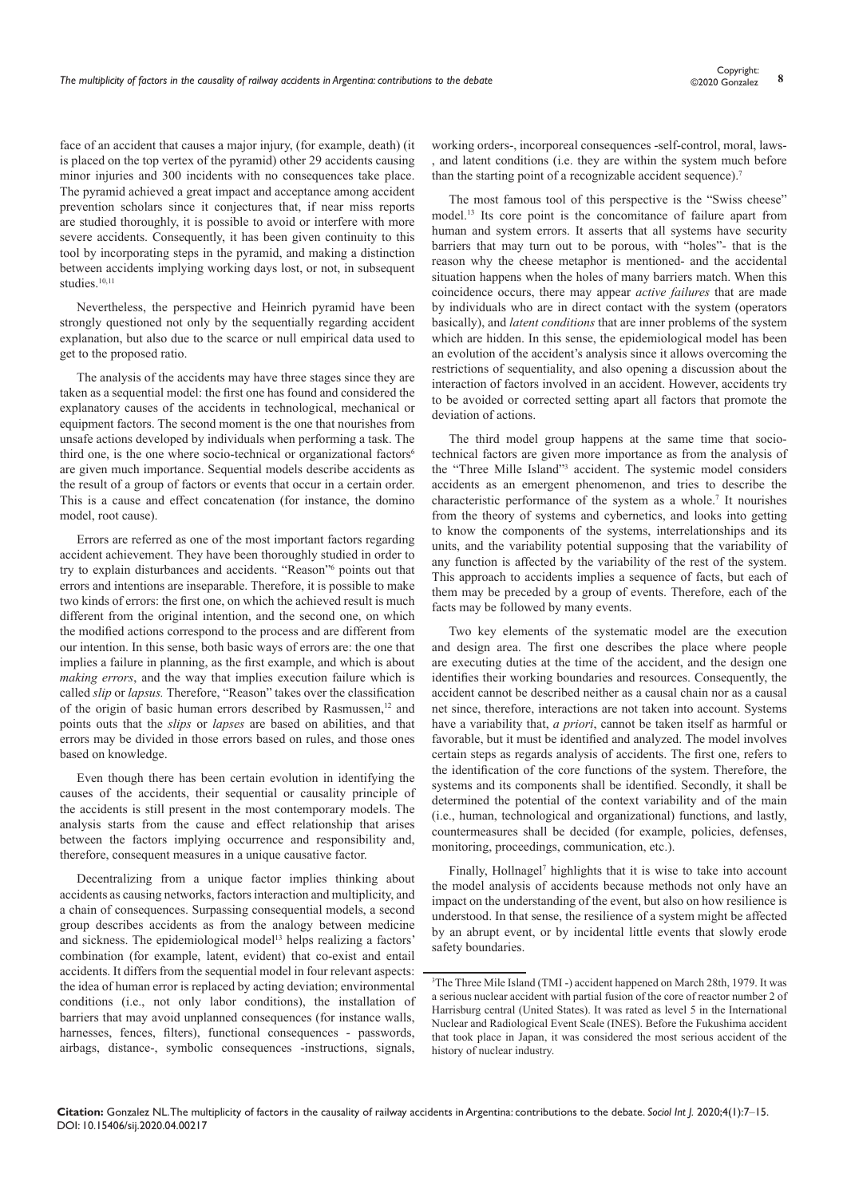face of an accident that causes a major injury, (for example, death) (it is placed on the top vertex of the pyramid) other 29 accidents causing minor injuries and 300 incidents with no consequences take place. The pyramid achieved a great impact and acceptance among accident prevention scholars since it conjectures that, if near miss reports are studied thoroughly, it is possible to avoid or interfere with more severe accidents. Consequently, it has been given continuity to this tool by incorporating steps in the pyramid, and making a distinction between accidents implying working days lost, or not, in subsequent studies $10,11$ 

Nevertheless, the perspective and Heinrich pyramid have been strongly questioned not only by the sequentially regarding accident explanation, but also due to the scarce or null empirical data used to get to the proposed ratio.

The analysis of the accidents may have three stages since they are taken as a sequential model: the first one has found and considered the explanatory causes of the accidents in technological, mechanical or equipment factors. The second moment is the one that nourishes from unsafe actions developed by individuals when performing a task. The third one, is the one where socio-technical or organizational factors<sup>6</sup> are given much importance. Sequential models describe accidents as the result of a group of factors or events that occur in a certain order. This is a cause and effect concatenation (for instance, the domino model, root cause).

Errors are referred as one of the most important factors regarding accident achievement. They have been thoroughly studied in order to try to explain disturbances and accidents. "Reason"<sup>6</sup> points out that errors and intentions are inseparable. Therefore, it is possible to make two kinds of errors: the first one, on which the achieved result is much different from the original intention, and the second one, on which the modified actions correspond to the process and are different from our intention. In this sense, both basic ways of errors are: the one that implies a failure in planning, as the first example, and which is about *making errors*, and the way that implies execution failure which is called *slip* or *lapsus.* Therefore, "Reason" takes over the classification of the origin of basic human errors described by Rasmussen,<sup>12</sup> and points outs that the *slips* or *lapses* are based on abilities, and that errors may be divided in those errors based on rules, and those ones based on knowledge.

Even though there has been certain evolution in identifying the causes of the accidents, their sequential or causality principle of the accidents is still present in the most contemporary models. The analysis starts from the cause and effect relationship that arises between the factors implying occurrence and responsibility and, therefore, consequent measures in a unique causative factor.

Decentralizing from a unique factor implies thinking about accidents as causing networks, factors interaction and multiplicity, and a chain of consequences. Surpassing consequential models, a second group describes accidents as from the analogy between medicine and sickness. The epidemiological model<sup>13</sup> helps realizing a factors' combination (for example, latent, evident) that co-exist and entail accidents. It differs from the sequential model in four relevant aspects: the idea of human error is replaced by acting deviation; environmental conditions (i.e., not only labor conditions), the installation of barriers that may avoid unplanned consequences (for instance walls, harnesses, fences, filters), functional consequences - passwords, airbags, distance-, symbolic consequences -instructions, signals,

working orders-, incorporeal consequences -self-control, moral, laws and latent conditions (i.e. they are within the system much before than the starting point of a recognizable accident sequence).<sup>7</sup>

The most famous tool of this perspective is the "Swiss cheese" model.13 Its core point is the concomitance of failure apart from human and system errors. It asserts that all systems have security barriers that may turn out to be porous, with "holes"- that is the reason why the cheese metaphor is mentioned- and the accidental situation happens when the holes of many barriers match. When this coincidence occurs, there may appear *active failures* that are made by individuals who are in direct contact with the system (operators basically), and *latent conditions* that are inner problems of the system which are hidden. In this sense, the epidemiological model has been an evolution of the accident's analysis since it allows overcoming the restrictions of sequentiality, and also opening a discussion about the interaction of factors involved in an accident. However, accidents try to be avoided or corrected setting apart all factors that promote the deviation of actions.

The third model group happens at the same time that sociotechnical factors are given more importance as from the analysis of the "Three Mille Island"<sup>3</sup> accident. The systemic model considers accidents as an emergent phenomenon, and tries to describe the characteristic performance of the system as a whole.<sup>7</sup> It nourishes from the theory of systems and cybernetics, and looks into getting to know the components of the systems, interrelationships and its units, and the variability potential supposing that the variability of any function is affected by the variability of the rest of the system. This approach to accidents implies a sequence of facts, but each of them may be preceded by a group of events. Therefore, each of the facts may be followed by many events.

Two key elements of the systematic model are the execution and design area. The first one describes the place where people are executing duties at the time of the accident, and the design one identifies their working boundaries and resources. Consequently, the accident cannot be described neither as a causal chain nor as a causal net since, therefore, interactions are not taken into account. Systems have a variability that, *a priori*, cannot be taken itself as harmful or favorable, but it must be identified and analyzed. The model involves certain steps as regards analysis of accidents. The first one, refers to the identification of the core functions of the system. Therefore, the systems and its components shall be identified. Secondly, it shall be determined the potential of the context variability and of the main (i.e., human, technological and organizational) functions, and lastly, countermeasures shall be decided (for example, policies, defenses, monitoring, proceedings, communication, etc.).

Finally, Hollnagel<sup>7</sup> highlights that it is wise to take into account the model analysis of accidents because methods not only have an impact on the understanding of the event, but also on how resilience is understood. In that sense, the resilience of a system might be affected by an abrupt event, or by incidental little events that slowly erode safety boundaries.

<sup>3</sup> The Three Mile Island (TMI -) accident happened on March 28th, 1979. It was a serious nuclear accident with partial fusion of the core of reactor number 2 of Harrisburg central (United States). It was rated as level 5 in the International Nuclear and Radiological Event Scale (INES). Before the Fukushima accident that took place in Japan, it was considered the most serious accident of the history of nuclear industry.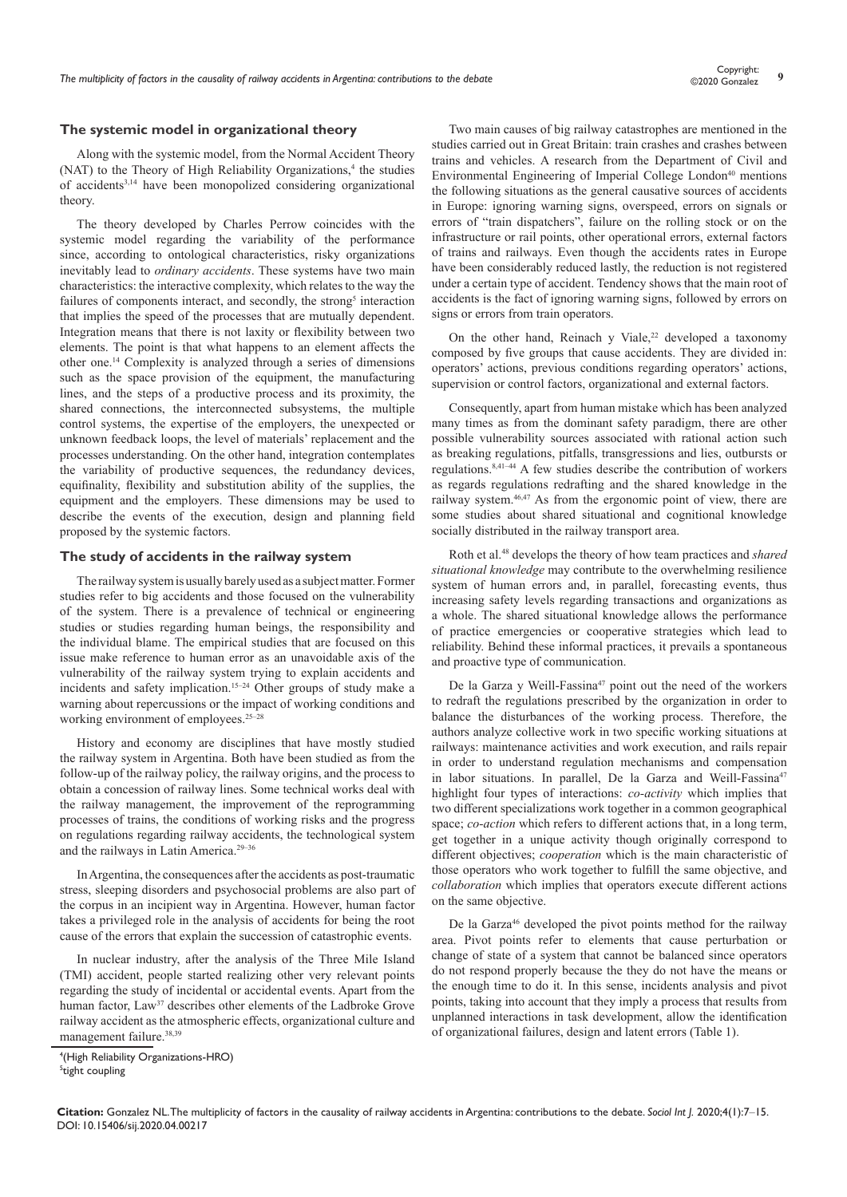#### **The systemic model in organizational theory**

Along with the systemic model, from the Normal Accident Theory  $(NAT)$  to the Theory of High Reliability Organizations,<sup>4</sup> the studies of accidents3,14 have been monopolized considering organizational theory.

The theory developed by Charles Perrow coincides with the systemic model regarding the variability of the performance since, according to ontological characteristics, risky organizations inevitably lead to *ordinary accidents*. These systems have two main characteristics: the interactive complexity, which relates to the way the failures of components interact, and secondly, the strong<sup>5</sup> interaction that implies the speed of the processes that are mutually dependent. Integration means that there is not laxity or flexibility between two elements. The point is that what happens to an element affects the other one.14 Complexity is analyzed through a series of dimensions such as the space provision of the equipment, the manufacturing lines, and the steps of a productive process and its proximity, the shared connections, the interconnected subsystems, the multiple control systems, the expertise of the employers, the unexpected or unknown feedback loops, the level of materials' replacement and the processes understanding. On the other hand, integration contemplates the variability of productive sequences, the redundancy devices, equifinality, flexibility and substitution ability of the supplies, the equipment and the employers. These dimensions may be used to describe the events of the execution, design and planning field proposed by the systemic factors.

#### **The study of accidents in the railway system**

The railway system is usually barely used as a subject matter. Former studies refer to big accidents and those focused on the vulnerability of the system. There is a prevalence of technical or engineering studies or studies regarding human beings, the responsibility and the individual blame. The empirical studies that are focused on this issue make reference to human error as an unavoidable axis of the vulnerability of the railway system trying to explain accidents and incidents and safety implication.15–24 Other groups of study make a warning about repercussions or the impact of working conditions and working environment of employees.<sup>25-28</sup>

History and economy are disciplines that have mostly studied the railway system in Argentina. Both have been studied as from the follow-up of the railway policy, the railway origins, and the process to obtain a concession of railway lines. Some technical works deal with the railway management, the improvement of the reprogramming processes of trains, the conditions of working risks and the progress on regulations regarding railway accidents, the technological system and the railways in Latin America.29–36

In Argentina, the consequences after the accidents as post-traumatic stress, sleeping disorders and psychosocial problems are also part of the corpus in an incipient way in Argentina. However, human factor takes a privileged role in the analysis of accidents for being the root cause of the errors that explain the succession of catastrophic events.

In nuclear industry, after the analysis of the Three Mile Island (TMI) accident, people started realizing other very relevant points regarding the study of incidental or accidental events. Apart from the human factor, Law<sup>37</sup> describes other elements of the Ladbroke Grove railway accident as the atmospheric effects, organizational culture and management failure.<sup>38,39</sup>

Two main causes of big railway catastrophes are mentioned in the studies carried out in Great Britain: train crashes and crashes between trains and vehicles. A research from the Department of Civil and Environmental Engineering of Imperial College London<sup>40</sup> mentions the following situations as the general causative sources of accidents in Europe: ignoring warning signs, overspeed, errors on signals or errors of "train dispatchers", failure on the rolling stock or on the infrastructure or rail points, other operational errors, external factors of trains and railways. Even though the accidents rates in Europe have been considerably reduced lastly, the reduction is not registered under a certain type of accident. Tendency shows that the main root of accidents is the fact of ignoring warning signs, followed by errors on signs or errors from train operators.

On the other hand, Reinach y Viale, $22$  developed a taxonomy composed by five groups that cause accidents. They are divided in: operators' actions, previous conditions regarding operators' actions, supervision or control factors, organizational and external factors.

Consequently, apart from human mistake which has been analyzed many times as from the dominant safety paradigm, there are other possible vulnerability sources associated with rational action such as breaking regulations, pitfalls, transgressions and lies, outbursts or regulations.8,41–44 A few studies describe the contribution of workers as regards regulations redrafting and the shared knowledge in the railway system.46,47 As from the ergonomic point of view, there are some studies about shared situational and cognitional knowledge socially distributed in the railway transport area.

Roth et al.48 develops the theory of how team practices and *shared situational knowledge* may contribute to the overwhelming resilience system of human errors and, in parallel, forecasting events, thus increasing safety levels regarding transactions and organizations as a whole. The shared situational knowledge allows the performance of practice emergencies or cooperative strategies which lead to reliability. Behind these informal practices, it prevails a spontaneous and proactive type of communication.

De la Garza y Weill-Fassina<sup>47</sup> point out the need of the workers to redraft the regulations prescribed by the organization in order to balance the disturbances of the working process. Therefore, the authors analyze collective work in two specific working situations at railways: maintenance activities and work execution, and rails repair in order to understand regulation mechanisms and compensation in labor situations. In parallel, De la Garza and Weill-Fassina<sup>47</sup> highlight four types of interactions: *co-activity* which implies that two different specializations work together in a common geographical space; *co-action* which refers to different actions that, in a long term, get together in a unique activity though originally correspond to different objectives; *cooperation* which is the main characteristic of those operators who work together to fulfill the same objective, and *collaboration* which implies that operators execute different actions on the same objective.

De la Garza<sup>46</sup> developed the pivot points method for the railway area. Pivot points refer to elements that cause perturbation or change of state of a system that cannot be balanced since operators do not respond properly because the they do not have the means or the enough time to do it. In this sense, incidents analysis and pivot points, taking into account that they imply a process that results from unplanned interactions in task development, allow the identification of organizational failures, design and latent errors (Table 1).

<sup>4</sup> (High Reliability Organizations-HRO) 5 tight coupling

**Citation:** Gonzalez NL. The multiplicity of factors in the causality of railway accidents in Argentina: contributions to the debate. *Sociol Int J.* 2020;4(1):7‒15. DOI: [10.15406/sij.2020.04.00217](https://doi.org/10.15406/sij.2020.04.00217
)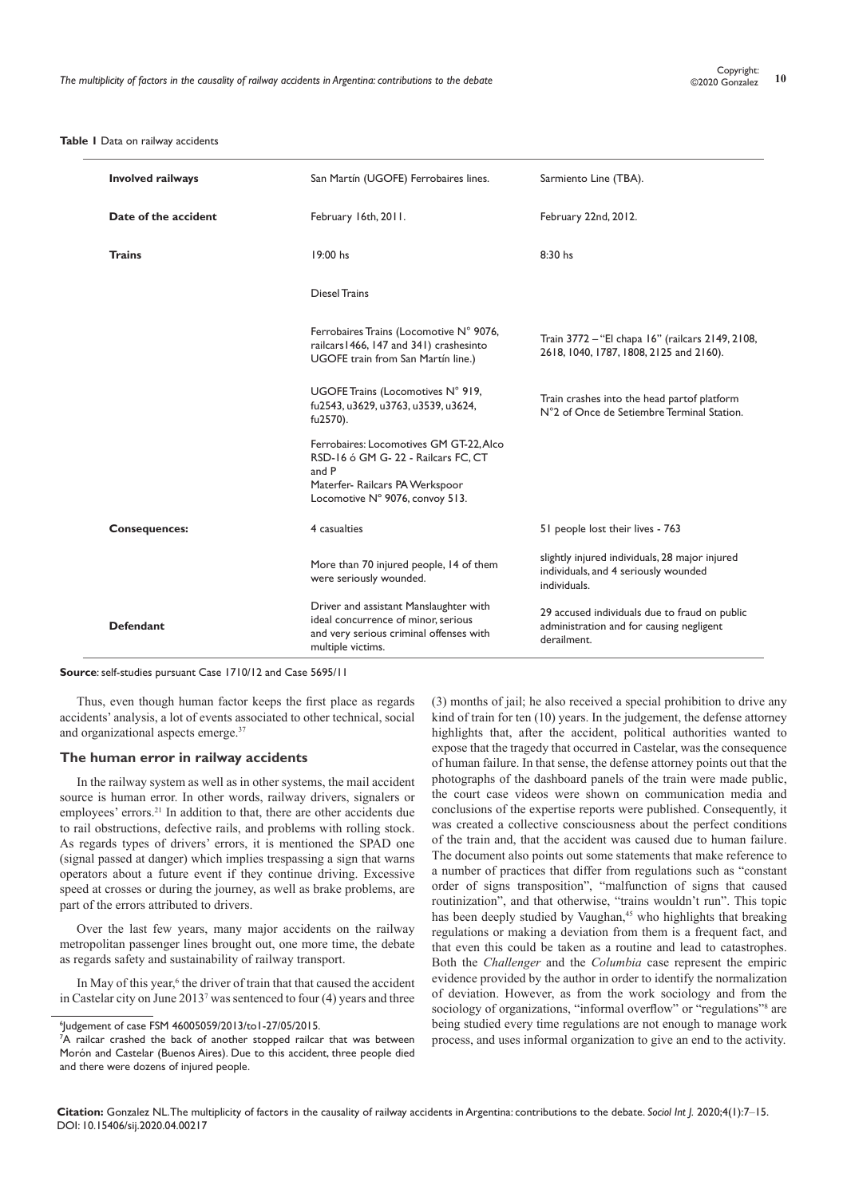#### **Table 1** Data on railway accidents

| <b>Involved railways</b> | San Martín (UGOFE) Ferrobaires lines.                                                                                                                        | Sarmiento Line (TBA).                                                                                    |
|--------------------------|--------------------------------------------------------------------------------------------------------------------------------------------------------------|----------------------------------------------------------------------------------------------------------|
| Date of the accident     | February 16th, 2011.                                                                                                                                         | February 22nd, 2012.                                                                                     |
| <b>Trains</b>            | 19:00 hs                                                                                                                                                     | $8:30$ hs                                                                                                |
|                          | <b>Diesel Trains</b>                                                                                                                                         |                                                                                                          |
|                          | Ferrobaires Trains (Locomotive N° 9076,<br>railcars 1466, 147 and 341) crashesinto<br>UGOFE train from San Martín line.)                                     | Train 3772 - "El chapa 16" (railcars 2149, 2108,<br>2618, 1040, 1787, 1808, 2125 and 2160).              |
|                          | UGOFE Trains (Locomotives N° 919,<br>fu2543, u3629, u3763, u3539, u3624,<br>fu2570).                                                                         | Train crashes into the head partof platform<br>N°2 of Once de Setiembre Terminal Station.                |
|                          | Ferrobaires: Locomotives GM GT-22, Alco<br>RSD-16 ó GM G-22 - Railcars FC, CT<br>and P<br>Materfer- Railcars PA Werkspoor<br>Locomotive N° 9076, convoy 513. |                                                                                                          |
| <b>Consequences:</b>     | 4 casualties                                                                                                                                                 | 51 people lost their lives - 763                                                                         |
|                          | More than 70 injured people, 14 of them<br>were seriously wounded.                                                                                           | slightly injured individuals, 28 major injured<br>individuals, and 4 seriously wounded<br>individuals.   |
| <b>Defendant</b>         | Driver and assistant Manslaughter with<br>ideal concurrence of minor, serious<br>and very serious criminal offenses with<br>multiple victims.                | 29 accused individuals due to fraud on public<br>administration and for causing negligent<br>derailment. |

**Source**: self-studies pursuant Case 1710/12 and Case 5695/11

Thus, even though human factor keeps the first place as regards accidents' analysis, a lot of events associated to other technical, social and organizational aspects emerge.37

#### **The human error in railway accidents**

In the railway system as well as in other systems, the mail accident source is human error. In other words, railway drivers, signalers or employees' errors.<sup>21</sup> In addition to that, there are other accidents due to rail obstructions, defective rails, and problems with rolling stock. As regards types of drivers' errors, it is mentioned the SPAD one (signal passed at danger) which implies trespassing a sign that warns operators about a future event if they continue driving. Excessive speed at crosses or during the journey, as well as brake problems, are part of the errors attributed to drivers.

Over the last few years, many major accidents on the railway metropolitan passenger lines brought out, one more time, the debate as regards safety and sustainability of railway transport.

In May of this year,<sup>6</sup> the driver of train that that caused the accident in Castelar city on June 2013<sup>7</sup> was sentenced to four (4) years and three (3) months of jail; he also received a special prohibition to drive any kind of train for ten (10) years. In the judgement, the defense attorney highlights that, after the accident, political authorities wanted to expose that the tragedy that occurred in Castelar, was the consequence of human failure. In that sense, the defense attorney points out that the photographs of the dashboard panels of the train were made public, the court case videos were shown on communication media and conclusions of the expertise reports were published. Consequently, it was created a collective consciousness about the perfect conditions of the train and, that the accident was caused due to human failure. The document also points out some statements that make reference to a number of practices that differ from regulations such as "constant order of signs transposition", "malfunction of signs that caused routinization", and that otherwise, "trains wouldn't run". This topic has been deeply studied by Vaughan,<sup>45</sup> who highlights that breaking regulations or making a deviation from them is a frequent fact, and that even this could be taken as a routine and lead to catastrophes. Both the *Challenger* and the *Columbia* case represent the empiric evidence provided by the author in order to identify the normalization of deviation. However, as from the work sociology and from the sociology of organizations, "informal overflow" or "regulations"<sup>8</sup> are being studied every time regulations are not enough to manage work process, and uses informal organization to give an end to the activity.

<sup>6</sup> Judgement of case FSM 46005059/2013/to1-27/05/2015.

<sup>&</sup>lt;sup>7</sup>A railcar crashed the back of another stopped railcar that was between Morón and Castelar (Buenos Aires). Due to this accident, three people died and there were dozens of injured people.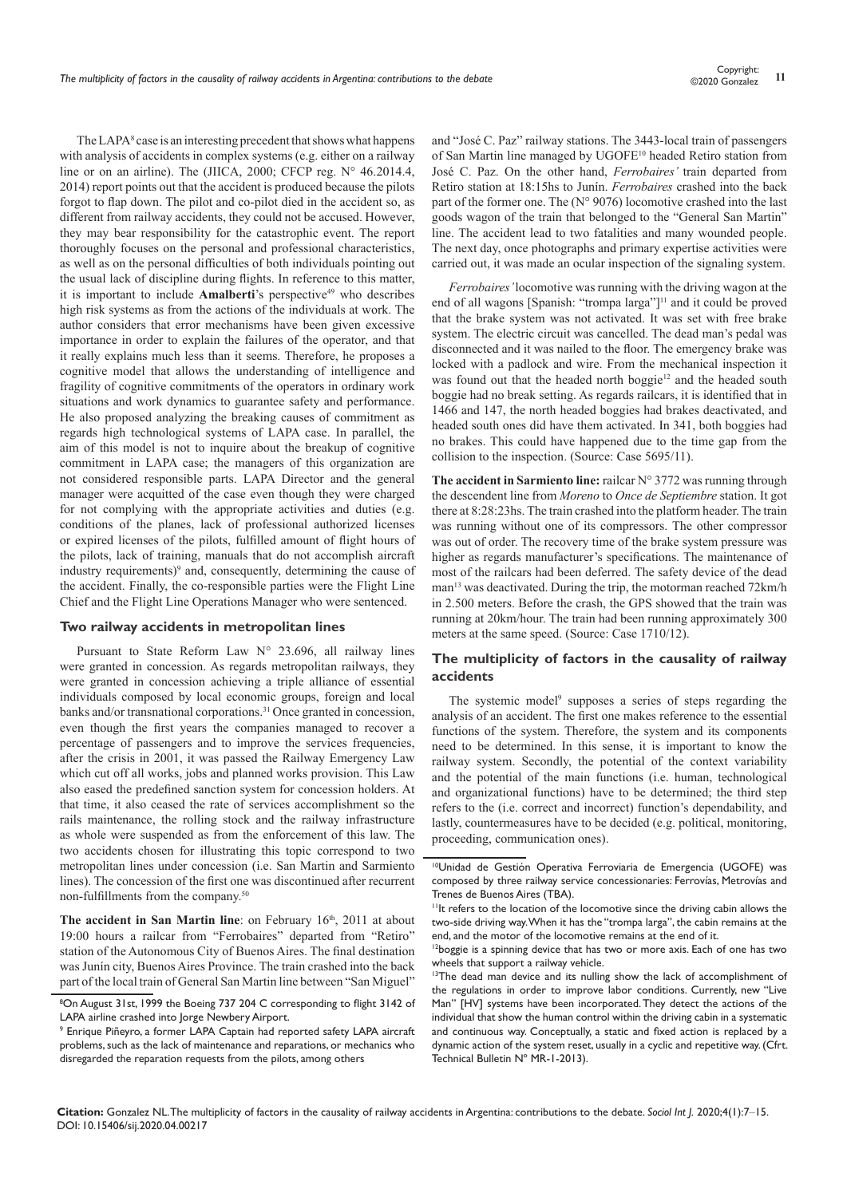The LAPA<sup>8</sup> case is an interesting precedent that shows what happens with analysis of accidents in complex systems (e.g. either on a railway line or on an airline). The (JIICA, 2000; CFCP reg. N° 46.2014.4, 2014) report points out that the accident is produced because the pilots forgot to flap down. The pilot and co-pilot died in the accident so, as different from railway accidents, they could not be accused. However, they may bear responsibility for the catastrophic event. The report thoroughly focuses on the personal and professional characteristics, as well as on the personal difficulties of both individuals pointing out the usual lack of discipline during flights. In reference to this matter, it is important to include **Amalberti**'s perspective<sup>49</sup> who describes high risk systems as from the actions of the individuals at work. The author considers that error mechanisms have been given excessive importance in order to explain the failures of the operator, and that it really explains much less than it seems. Therefore, he proposes a cognitive model that allows the understanding of intelligence and fragility of cognitive commitments of the operators in ordinary work situations and work dynamics to guarantee safety and performance. He also proposed analyzing the breaking causes of commitment as regards high technological systems of LAPA case. In parallel, the aim of this model is not to inquire about the breakup of cognitive commitment in LAPA case; the managers of this organization are not considered responsible parts. LAPA Director and the general manager were acquitted of the case even though they were charged for not complying with the appropriate activities and duties (e.g. conditions of the planes, lack of professional authorized licenses or expired licenses of the pilots, fulfilled amount of flight hours of the pilots, lack of training, manuals that do not accomplish aircraft industry requirements)<sup>9</sup> and, consequently, determining the cause of the accident. Finally, the co-responsible parties were the Flight Line Chief and the Flight Line Operations Manager who were sentenced.

#### **Two railway accidents in metropolitan lines**

Pursuant to State Reform Law N° 23.696, all railway lines were granted in concession. As regards metropolitan railways, they were granted in concession achieving a triple alliance of essential individuals composed by local economic groups, foreign and local banks and/or transnational corporations.<sup>31</sup> Once granted in concession, even though the first years the companies managed to recover a percentage of passengers and to improve the services frequencies, after the crisis in 2001, it was passed the Railway Emergency Law which cut off all works, jobs and planned works provision. This Law also eased the predefined sanction system for concession holders. At that time, it also ceased the rate of services accomplishment so the rails maintenance, the rolling stock and the railway infrastructure as whole were suspended as from the enforcement of this law. The two accidents chosen for illustrating this topic correspond to two metropolitan lines under concession (i.e. San Martin and Sarmiento lines). The concession of the first one was discontinued after recurrent non-fulfillments from the company.50

**The accident in San Martin line**: on February 16<sup>th</sup>, 2011 at about 19:00 hours a railcar from "Ferrobaires" departed from "Retiro" station of the Autonomous City of Buenos Aires. The final destination was Junín city, Buenos Aires Province. The train crashed into the back part of the local train of General San Martin line between "San Miguel"

and "José C. Paz" railway stations. The 3443-local train of passengers of San Martin line managed by UGOFE<sup>10</sup> headed Retiro station from José C. Paz. On the other hand, *Ferrobaires'* train departed from Retiro station at 18:15hs to Junín. *Ferrobaires* crashed into the back part of the former one. The (N° 9076) locomotive crashed into the last goods wagon of the train that belonged to the "General San Martin" line. The accident lead to two fatalities and many wounded people. The next day, once photographs and primary expertise activities were carried out, it was made an ocular inspection of the signaling system.

*Ferrobaires'* locomotive was running with the driving wagon at the end of all wagons [Spanish: "trompa larga"]<sup>11</sup> and it could be proved that the brake system was not activated. It was set with free brake system. The electric circuit was cancelled. The dead man's pedal was disconnected and it was nailed to the floor. The emergency brake was locked with a padlock and wire. From the mechanical inspection it was found out that the headed north boggie<sup>12</sup> and the headed south boggie had no break setting. As regards railcars, it is identified that in 1466 and 147, the north headed boggies had brakes deactivated, and headed south ones did have them activated. In 341, both boggies had no brakes. This could have happened due to the time gap from the collision to the inspection. (Source: Case 5695/11).

**The accident in Sarmiento line:** railcar N° 3772 was running through the descendent line from *Moreno* to *Once de Septiembre* station. It got there at 8:28:23hs. The train crashed into the platform header. The train was running without one of its compressors. The other compressor was out of order. The recovery time of the brake system pressure was higher as regards manufacturer's specifications. The maintenance of most of the railcars had been deferred. The safety device of the dead man<sup>13</sup> was deactivated. During the trip, the motorman reached 72km/h in 2.500 meters. Before the crash, the GPS showed that the train was running at 20km/hour. The train had been running approximately 300 meters at the same speed. (Source: Case 1710/12).

# **The multiplicity of factors in the causality of railway accidents**

The systemic model<sup>9</sup> supposes a series of steps regarding the analysis of an accident. The first one makes reference to the essential functions of the system. Therefore, the system and its components need to be determined. In this sense, it is important to know the railway system. Secondly, the potential of the context variability and the potential of the main functions (i.e. human, technological and organizational functions) have to be determined; the third step refers to the (i.e. correct and incorrect) function's dependability, and lastly, countermeasures have to be decided (e.g. political, monitoring, proceeding, communication ones).

<sup>8</sup> On August 31st, 1999 the Boeing 737 204 C corresponding to flight 3142 of LAPA airline crashed into Jorge Newbery Airport.

<sup>9</sup> Enrique Piñeyro, a former LAPA Captain had reported safety LAPA aircraft problems, such as the lack of maintenance and reparations, or mechanics who disregarded the reparation requests from the pilots, among others

<sup>10</sup>Unidad de Gestión Operativa Ferroviaria de Emergencia (UGOFE) was composed by three railway service concessionaries: Ferrovías, Metrovías and Trenes de Buenos Aires (TBA).

<sup>&</sup>lt;sup>11</sup>It refers to the location of the locomotive since the driving cabin allows the two-side driving way. When it has the "trompa larga", the cabin remains at the end, and the motor of the locomotive remains at the end of it.

<sup>&</sup>lt;sup>12</sup>boggie is a spinning device that has two or more axis. Each of one has two wheels that support a railway vehicle.

<sup>&</sup>lt;sup>13</sup>The dead man device and its nulling show the lack of accomplishment of the regulations in order to improve labor conditions. Currently, new "Live Man" [HV] systems have been incorporated. They detect the actions of the individual that show the human control within the driving cabin in a systematic and continuous way. Conceptually, a static and fixed action is replaced by a dynamic action of the system reset, usually in a cyclic and repetitive way. (Cfrt. Technical Bulletin Nº MR-1-2013).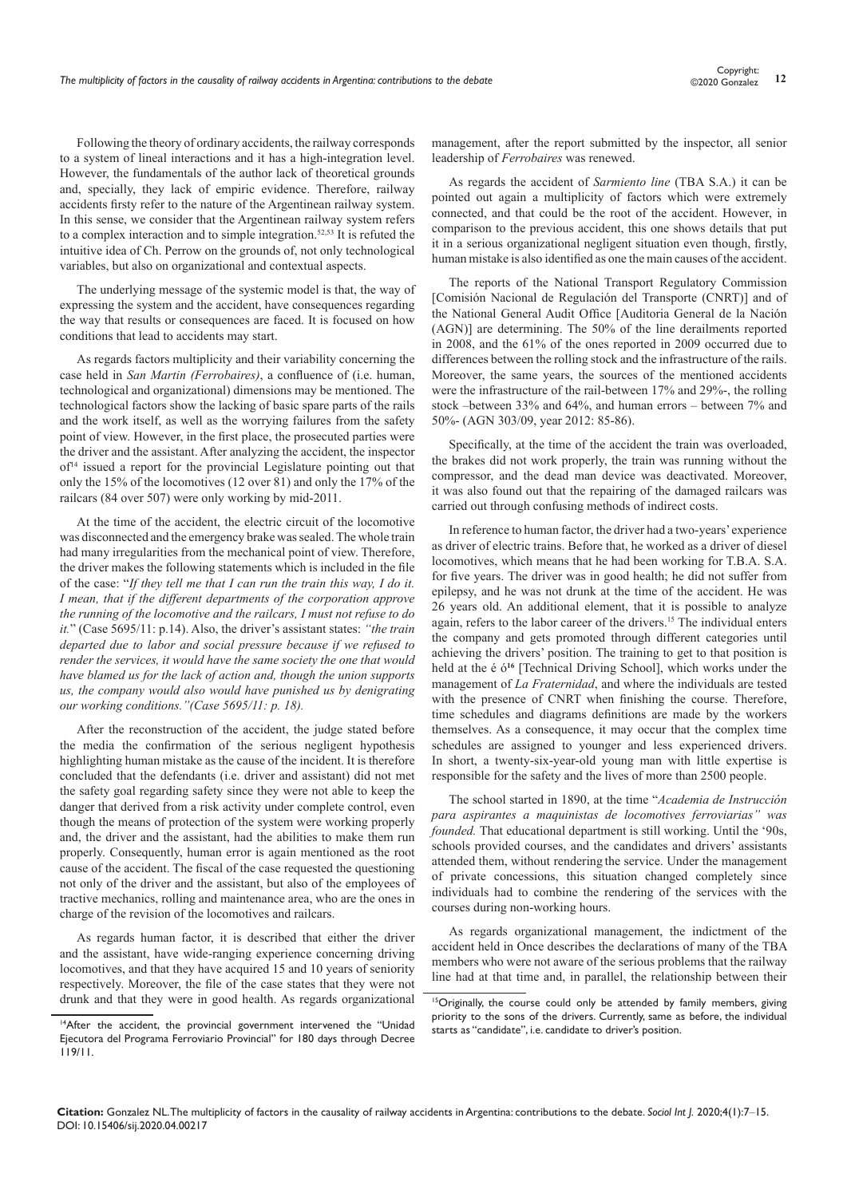Following the theory of ordinary accidents, the railway corresponds to a system of lineal interactions and it has a high-integration level. However, the fundamentals of the author lack of theoretical grounds and, specially, they lack of empiric evidence. Therefore, railway accidents firsty refer to the nature of the Argentinean railway system. In this sense, we consider that the Argentinean railway system refers to a complex interaction and to simple integration.<sup>52,53</sup> It is refuted the intuitive idea of Ch. Perrow on the grounds of, not only technological variables, but also on organizational and contextual aspects.

The underlying message of the systemic model is that, the way of expressing the system and the accident, have consequences regarding the way that results or consequences are faced. It is focused on how conditions that lead to accidents may start.

As regards factors multiplicity and their variability concerning the case held in *San Martin (Ferrobaires)*, a confluence of (i.e. human, technological and organizational) dimensions may be mentioned. The technological factors show the lacking of basic spare parts of the rails and the work itself, as well as the worrying failures from the safety point of view. However, in the first place, the prosecuted parties were the driver and the assistant. After analyzing the accident, the inspector of14 issued a report for the provincial Legislature pointing out that only the 15% of the locomotives (12 over 81) and only the 17% of the railcars (84 over 507) were only working by mid-2011.

At the time of the accident, the electric circuit of the locomotive was disconnected and the emergency brake was sealed. The whole train had many irregularities from the mechanical point of view. Therefore, the driver makes the following statements which is included in the file of the case: "*If they tell me that I can run the train this way, I do it. I mean, that if the different departments of the corporation approve the running of the locomotive and the railcars, I must not refuse to do it.*" (Case 5695/11: p.14). Also, the driver's assistant states: *"the train departed due to labor and social pressure because if we refused to render the services, it would have the same society the one that would have blamed us for the lack of action and, though the union supports us, the company would also would have punished us by denigrating our working conditions."(Case 5695/11: p. 18).*

After the reconstruction of the accident, the judge stated before the media the confirmation of the serious negligent hypothesis highlighting human mistake as the cause of the incident. It is therefore concluded that the defendants (i.e. driver and assistant) did not met the safety goal regarding safety since they were not able to keep the danger that derived from a risk activity under complete control, even though the means of protection of the system were working properly and, the driver and the assistant, had the abilities to make them run properly. Consequently, human error is again mentioned as the root cause of the accident. The fiscal of the case requested the questioning not only of the driver and the assistant, but also of the employees of tractive mechanics, rolling and maintenance area, who are the ones in charge of the revision of the locomotives and railcars.

As regards human factor, it is described that either the driver and the assistant, have wide-ranging experience concerning driving locomotives, and that they have acquired 15 and 10 years of seniority respectively. Moreover, the file of the case states that they were not drunk and that they were in good health. As regards organizational

<sup>14</sup>After the accident, the provincial government intervened the "Unidad Ejecutora del Programa Ferroviario Provincial" for 180 days through Decree 119/11.

management, after the report submitted by the inspector, all senior leadership of *Ferrobaires* was renewed.

As regards the accident of *Sarmiento line* (TBA S.A.) it can be pointed out again a multiplicity of factors which were extremely connected, and that could be the root of the accident. However, in comparison to the previous accident, this one shows details that put it in a serious organizational negligent situation even though, firstly, human mistake is also identified as one the main causes of the accident.

The reports of the National Transport Regulatory Commission [Comisión Nacional de Regulación del Transporte (CNRT)] and of the National General Audit Office [Auditoria General de la Nación (AGN)] are determining. The 50% of the line derailments reported in 2008, and the 61% of the ones reported in 2009 occurred due to differences between the rolling stock and the infrastructure of the rails. Moreover, the same years, the sources of the mentioned accidents were the infrastructure of the rail-between 17% and 29%-, the rolling stock –between 33% and 64%, and human errors – between 7% and 50%- (AGN 303/09, year 2012: 85-86).

Specifically, at the time of the accident the train was overloaded, the brakes did not work properly, the train was running without the compressor, and the dead man device was deactivated. Moreover, it was also found out that the repairing of the damaged railcars was carried out through confusing methods of indirect costs.

In reference to human factor, the driver had a two-years' experience as driver of electric trains. Before that, he worked as a driver of diesel locomotives, which means that he had been working for T.B.A. S.A. for five years. The driver was in good health; he did not suffer from epilepsy, and he was not drunk at the time of the accident. He was 26 years old. An additional element, that it is possible to analyze again, refers to the labor career of the drivers.<sup>15</sup> The individual enters the company and gets promoted through different categories until achieving the drivers' position. The training to get to that position is held at the é ó**<sup>16</sup>** [Technical Driving School], which works under the management of *La Fraternidad*, and where the individuals are tested with the presence of CNRT when finishing the course. Therefore, time schedules and diagrams definitions are made by the workers themselves. As a consequence, it may occur that the complex time schedules are assigned to younger and less experienced drivers. In short, a twenty-six-year-old young man with little expertise is responsible for the safety and the lives of more than 2500 people.

The school started in 1890, at the time "*Academia de Instrucción para aspirantes a maquinistas de locomotives ferroviarias" was founded.* That educational department is still working. Until the '90s, schools provided courses, and the candidates and drivers' assistants attended them, without rendering the service. Under the management of private concessions, this situation changed completely since individuals had to combine the rendering of the services with the courses during non-working hours.

As regards organizational management, the indictment of the accident held in Once describes the declarations of many of the TBA members who were not aware of the serious problems that the railway line had at that time and, in parallel, the relationship between their

<sup>&</sup>lt;sup>15</sup>Originally, the course could only be attended by family members, giving priority to the sons of the drivers. Currently, same as before, the individual starts as "candidate", i.e. candidate to driver's position.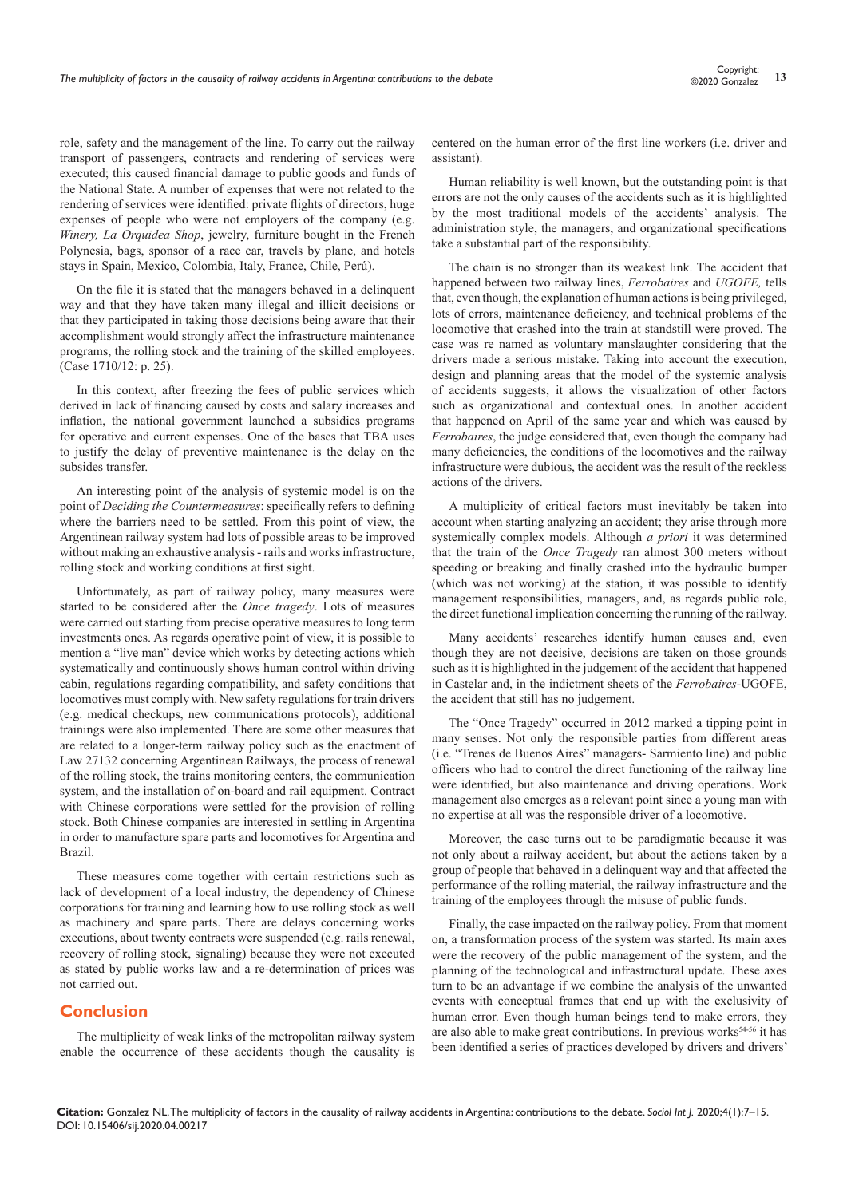role, safety and the management of the line. To carry out the railway transport of passengers, contracts and rendering of services were executed; this caused financial damage to public goods and funds of the National State. A number of expenses that were not related to the rendering of services were identified: private flights of directors, huge expenses of people who were not employers of the company (e.g. *Winery, La Orquidea Shop*, jewelry, furniture bought in the French Polynesia, bags, sponsor of a race car, travels by plane, and hotels stays in Spain, Mexico, Colombia, Italy, France, Chile, Perú).

On the file it is stated that the managers behaved in a delinquent way and that they have taken many illegal and illicit decisions or that they participated in taking those decisions being aware that their accomplishment would strongly affect the infrastructure maintenance programs, the rolling stock and the training of the skilled employees. (Case 1710/12: p. 25).

In this context, after freezing the fees of public services which derived in lack of financing caused by costs and salary increases and inflation, the national government launched a subsidies programs for operative and current expenses. One of the bases that TBA uses to justify the delay of preventive maintenance is the delay on the subsides transfer.

An interesting point of the analysis of systemic model is on the point of *Deciding the Countermeasures*: specifically refers to defining where the barriers need to be settled. From this point of view, the Argentinean railway system had lots of possible areas to be improved without making an exhaustive analysis - rails and works infrastructure, rolling stock and working conditions at first sight.

Unfortunately, as part of railway policy, many measures were started to be considered after the *Once tragedy*. Lots of measures were carried out starting from precise operative measures to long term investments ones. As regards operative point of view, it is possible to mention a "live man" device which works by detecting actions which systematically and continuously shows human control within driving cabin, regulations regarding compatibility, and safety conditions that locomotives must comply with. New safety regulations for train drivers (e.g. medical checkups, new communications protocols), additional trainings were also implemented. There are some other measures that are related to a longer-term railway policy such as the enactment of Law 27132 concerning Argentinean Railways, the process of renewal of the rolling stock, the trains monitoring centers, the communication system, and the installation of on-board and rail equipment. Contract with Chinese corporations were settled for the provision of rolling stock. Both Chinese companies are interested in settling in Argentina in order to manufacture spare parts and locomotives for Argentina and Brazil.

These measures come together with certain restrictions such as lack of development of a local industry, the dependency of Chinese corporations for training and learning how to use rolling stock as well as machinery and spare parts. There are delays concerning works executions, about twenty contracts were suspended (e.g. rails renewal, recovery of rolling stock, signaling) because they were not executed as stated by public works law and a re-determination of prices was not carried out.

#### **Conclusion**

The multiplicity of weak links of the metropolitan railway system enable the occurrence of these accidents though the causality is

centered on the human error of the first line workers (i.e. driver and assistant).

Human reliability is well known, but the outstanding point is that errors are not the only causes of the accidents such as it is highlighted by the most traditional models of the accidents' analysis. The administration style, the managers, and organizational specifications take a substantial part of the responsibility.

The chain is no stronger than its weakest link. The accident that happened between two railway lines, *Ferrobaires* and *UGOFE,* tells that, even though, the explanation of human actions is being privileged, lots of errors, maintenance deficiency, and technical problems of the locomotive that crashed into the train at standstill were proved. The case was re named as voluntary manslaughter considering that the drivers made a serious mistake. Taking into account the execution, design and planning areas that the model of the systemic analysis of accidents suggests, it allows the visualization of other factors such as organizational and contextual ones. In another accident that happened on April of the same year and which was caused by *Ferrobaires*, the judge considered that, even though the company had many deficiencies, the conditions of the locomotives and the railway infrastructure were dubious, the accident was the result of the reckless actions of the drivers.

A multiplicity of critical factors must inevitably be taken into account when starting analyzing an accident; they arise through more systemically complex models. Although *a priori* it was determined that the train of the *Once Tragedy* ran almost 300 meters without speeding or breaking and finally crashed into the hydraulic bumper (which was not working) at the station, it was possible to identify management responsibilities, managers, and, as regards public role, the direct functional implication concerning the running of the railway.

Many accidents' researches identify human causes and, even though they are not decisive, decisions are taken on those grounds such as it is highlighted in the judgement of the accident that happened in Castelar and, in the indictment sheets of the *Ferrobaires*-UGOFE, the accident that still has no judgement.

The "Once Tragedy" occurred in 2012 marked a tipping point in many senses. Not only the responsible parties from different areas (i.e. "Trenes de Buenos Aires" managers- Sarmiento line) and public officers who had to control the direct functioning of the railway line were identified, but also maintenance and driving operations. Work management also emerges as a relevant point since a young man with no expertise at all was the responsible driver of a locomotive.

Moreover, the case turns out to be paradigmatic because it was not only about a railway accident, but about the actions taken by a group of people that behaved in a delinquent way and that affected the performance of the rolling material, the railway infrastructure and the training of the employees through the misuse of public funds.

Finally, the case impacted on the railway policy. From that moment on, a transformation process of the system was started. Its main axes were the recovery of the public management of the system, and the planning of the technological and infrastructural update. These axes turn to be an advantage if we combine the analysis of the unwanted events with conceptual frames that end up with the exclusivity of human error. Even though human beings tend to make errors, they are also able to make great contributions. In previous works<sup>54-56</sup> it has been identified a series of practices developed by drivers and drivers'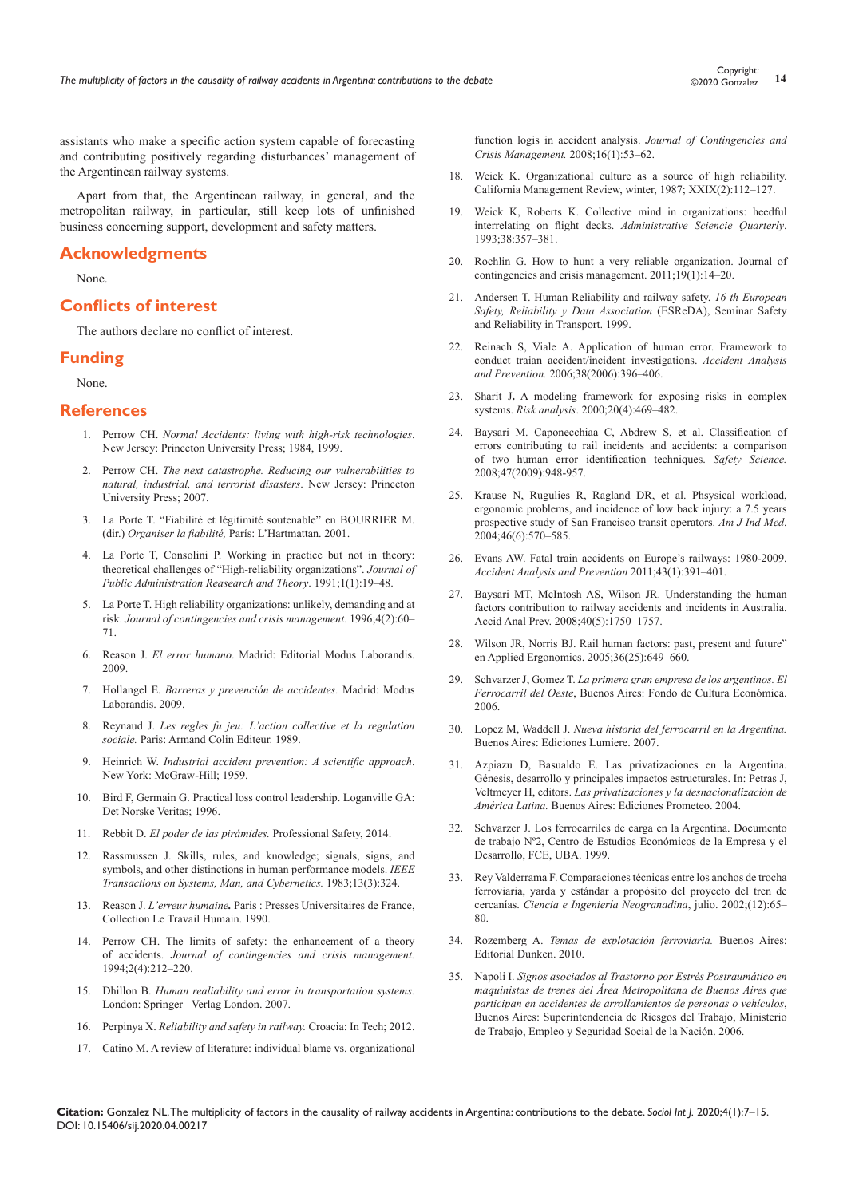assistants who make a specific action system capable of forecasting and contributing positively regarding disturbances' management of the Argentinean railway systems.

Apart from that, the Argentinean railway, in general, and the metropolitan railway, in particular, still keep lots of unfinished business concerning support, development and safety matters.

#### **Acknowledgments**

None.

# **Conflicts of interest**

The authors declare no conflict of interest.

#### **Funding**

None.

## **References**

- 1. Perrow CH. *[Normal Accidents: living with high-risk technologies](https://www.jstor.org/stable/j.ctt7srgf)*. [New Jersey: Princeton University Press; 1984, 1999.](https://www.jstor.org/stable/j.ctt7srgf)
- 2. Perrow CH. *[The next catastrophe. Reducing our vulnerabilities to](https://www.jstor.org/stable/j.ctt7t4c1)  [natural, industrial, and terrorist disasters](https://www.jstor.org/stable/j.ctt7t4c1)*. New Jersey: Princeton [University Press; 2007.](https://www.jstor.org/stable/j.ctt7t4c1)
- 3. La Porte T. "Fiabilité et légitimité soutenable" en BOURRIER M. (dir.) *Organiser la fiabilité,* París: L'Hartmattan. 2001.
- 4. [La Porte T, Consolini P. Working in practice but not in theory:](http://citeseerx.ist.psu.edu/viewdoc/download?doi=10.1.1.689.463&rep=rep1&type=pdf)  [theoretical challenges of "High-reliability organizations".](http://citeseerx.ist.psu.edu/viewdoc/download?doi=10.1.1.689.463&rep=rep1&type=pdf) *Journal of [Public Administration Reasearch and Theory](http://citeseerx.ist.psu.edu/viewdoc/download?doi=10.1.1.689.463&rep=rep1&type=pdf)*. 1991;1(1):19–48.
- 5. [La Porte T. High reliability organizations: unlikely, demanding and at](https://polisci.berkeley.edu/sites/default/files/people/u3825/High%20Reliability%20Organizations%20-%20Unlikely,%20Demanding,%20and%20At%20Risk.pdf)  risk. *[Journal of contingencies and crisis management](https://polisci.berkeley.edu/sites/default/files/people/u3825/High%20Reliability%20Organizations%20-%20Unlikely,%20Demanding,%20and%20At%20Risk.pdf)*. 1996;4(2):60– [71.](https://polisci.berkeley.edu/sites/default/files/people/u3825/High%20Reliability%20Organizations%20-%20Unlikely,%20Demanding,%20and%20At%20Risk.pdf)
- 6. Reason J. *El error humano*[. Madrid: Editorial Modus Laborandis.](http://www.moduslaborandi.com/index.php?page=el-error-humano)  [2009.](http://www.moduslaborandi.com/index.php?page=el-error-humano)
- 7. Hollangel E. *[Barreras y prevención de accidentes.](https://www.casadellibro.com/libro-barreras-y-prevencion-de-accidentes/9788493711702/1258460)* Madrid: Modus [Laborandis. 2009.](https://www.casadellibro.com/libro-barreras-y-prevencion-de-accidentes/9788493711702/1258460)
- 8. Reynaud J. *[Les regles fu jeu: L'action collective et la regulation](https://www.armand-colin.com/les-regles-du-jeu-laction-collective-et-la-regulation-sociale-9782200016777)  sociale.* [Paris: Armand Colin Editeur](https://www.armand-colin.com/les-regles-du-jeu-laction-collective-et-la-regulation-sociale-9782200016777). 1989.
- 9. Heinrich W. *[Industrial accident prevention: A scientific approach](https://psycnet.apa.org/record/1931-10417-000)*. [New York: McGraw-Hill; 1959.](https://psycnet.apa.org/record/1931-10417-000)
- 10. Bird F, Germain G. Practical loss control leadership. Loganville GA: Det Norske Veritas; 1996.
- 11. Rebbit D. *El poder de las pirámides.* Professional Safety, 2014.
- 12. [Rassmussen J. Skills, rules, and knowledge; signals, signs, and](https://ieeexplore.ieee.org/document/6313160)  [symbols, and other distinctions in human performance models.](https://ieeexplore.ieee.org/document/6313160) *IEEE [Transactions on Systems, Man, and Cybernetics.](https://ieeexplore.ieee.org/document/6313160)* 1983;13(3):324.
- 13. Reason J. *L'erreur humaine.* Paris : Presses Universitaires de France, Collection Le Travail Humain. 1990.
- 14. [Perrow CH. The limits of safety: the enhancement of a theory](https://onlinelibrary.wiley.com/doi/abs/10.1111/j.1468-5973.1994.tb00046.x)  of accidents. *[Journal of contingencies and crisis management.](https://onlinelibrary.wiley.com/doi/abs/10.1111/j.1468-5973.1994.tb00046.x)* [1994;2\(4\):212–220.](https://onlinelibrary.wiley.com/doi/abs/10.1111/j.1468-5973.1994.tb00046.x)
- 15. Dhillon B. *[Human realiability and error in transportation systems.](https://link.springer.com/book/10.1007/978-1-84628-812-8)* [London: Springer –Verlag London. 2007.](https://link.springer.com/book/10.1007/978-1-84628-812-8)
- 16. Perpinya X. *[Reliability and safety in railway.](https://www.intechopen.com/books/reliability-and-safety-in-railway)* Croacia: In Tech; 2012.
- 17. [Catino M. A review of literature: individual blame vs. organizational](https://onlinelibrary.wiley.com/doi/abs/10.1111/j.1468-5973.2008.00533.x)

[function logis in accident analysis.](https://onlinelibrary.wiley.com/doi/abs/10.1111/j.1468-5973.2008.00533.x) *Journal of Contingencies and [Crisis Management.](https://onlinelibrary.wiley.com/doi/abs/10.1111/j.1468-5973.2008.00533.x)* 2008;16(1):53–62.

- 18. [Weick K. Organizational culture as a source of high reliability.](https://www.itn.liu.se/mit/education/courses/tnfl05-risk-och-olycksanalys/vecka-48/1.305709/Weick1987.pdf)  [California Management Review, winter, 1987; XXIX\(2\):112–127.](https://www.itn.liu.se/mit/education/courses/tnfl05-risk-och-olycksanalys/vecka-48/1.305709/Weick1987.pdf)
- 19. [Weick K, Roberts K. Collective mind in organizations: heedful](https://psycnet.apa.org/record/1994-11758-001)  [interrelating on flight decks.](https://psycnet.apa.org/record/1994-11758-001) *Administrative Sciencie Quarterly*. [1993;38:357–381.](https://psycnet.apa.org/record/1994-11758-001)
- 20. Rochlin G. How to hunt a very reliable organization. Journal of contingencies and crisis management. 2011;19(1):14–20.
- 21. Andersen T. Human Reliability and railway safety. *16 th European Safety, Reliability y Data Association* (ESReDA), Seminar Safety and Reliability in Transport. 1999.
- 22. [Reinach S, Viale A. Application of human error. Framework to](https://dvikan.no/ntnu-studentserver/reports/Application%20of%20a%20human%20error%20framework%20to%20conduct%20train%20accident%20incident%20investigation.pdf)  [conduct traian accident/incident investigations.](https://dvikan.no/ntnu-studentserver/reports/Application%20of%20a%20human%20error%20framework%20to%20conduct%20train%20accident%20incident%20investigation.pdf) *Accident Analysis and Prevention.* [2006;38\(2006\):396–406.](https://dvikan.no/ntnu-studentserver/reports/Application%20of%20a%20human%20error%20framework%20to%20conduct%20train%20accident%20incident%20investigation.pdf)
- 23. Sharit J**.** [A modeling framework for exposing risks in complex](https://onlinelibrary.wiley.com/doi/abs/10.1111/0272-4332.204045)  systems. *Risk analysis*[. 2000;20\(4\):469–482.](https://onlinelibrary.wiley.com/doi/abs/10.1111/0272-4332.204045)
- 24. [Baysari M. Caponecchiaa C, Abdrew S, et al. Classification of](https://www.sciencedirect.com/science/article/pii/S0925753508001689)  [errors contributing to rail incidents and accidents: a comparison](https://www.sciencedirect.com/science/article/pii/S0925753508001689)  [of two human error identification techniques.](https://www.sciencedirect.com/science/article/pii/S0925753508001689) *Safety Science.* [2008;47\(2009\):948-957.](https://www.sciencedirect.com/science/article/pii/S0925753508001689)
- 25. [Krause N, Rugulies R, Ragland DR, et al. Phsysical workload,](https://www.ncbi.nlm.nih.gov/pubmed/15551390)  [ergonomic problems, and incidence of low back injury: a 7.5 years](https://www.ncbi.nlm.nih.gov/pubmed/15551390)  [prospective study of San Francisco transit operators.](https://www.ncbi.nlm.nih.gov/pubmed/15551390) *Am J Ind Med*. 2004[;46\(6\):570–585.](https://www.ncbi.nlm.nih.gov/pubmed/15551390)
- 26. [Evans AW. Fatal train accidents on Europe's railways: 1980-2009.](https://www.sciencedirect.com/science/article/abs/pii/S0001457510002721)  *[Accident Analysis and Prevention](https://www.sciencedirect.com/science/article/abs/pii/S0001457510002721)* 2011;43(1):391–401.
- 27. [Baysari MT, McIntosh AS, Wilson JR. Understanding the human](https://www.ncbi.nlm.nih.gov/pubmed/18760104)  [factors contribution to railway accidents and incidents in Australia.](https://www.ncbi.nlm.nih.gov/pubmed/18760104)  [Accid Anal Prev. 2008;40\(5\):1750–1757.](https://www.ncbi.nlm.nih.gov/pubmed/18760104)
- 28. [Wilson JR, Norris BJ. Rail human factors: past, present and future"](https://www.ncbi.nlm.nih.gov/pubmed/16238999)  [en Applied Ergonomics. 2005;36\(25\):649–660.](https://www.ncbi.nlm.nih.gov/pubmed/16238999)
- 29. Schvarzer J, Gomez T. *[La primera gran empresa de los argentinos. El](https://www.marcialpons.es/libros/la-primera-gran-empresa-de-los-argentinos/9789505576791/)  Ferrocarril del Oeste*[, Buenos Aires: Fondo de Cultura Económica.](https://www.marcialpons.es/libros/la-primera-gran-empresa-de-los-argentinos/9789505576791/)  [2006.](https://www.marcialpons.es/libros/la-primera-gran-empresa-de-los-argentinos/9789505576791/)
- 30. Lopez M, Waddell J. *Nueva historia del ferrocarril en la Argentina.* Buenos Aires: Ediciones Lumiere. 2007.
- 31. [Azpiazu D, Basualdo E. Las privatizaciones en la Argentina.](http://biblioteca.clacso.edu.ar/gsdl/cgi-bin/library.cgi?e=d-11000-00---off-0ar%2FarZz-020--00-1----0-10-0---0---0direct-10---4-------0-0l--11-es-Zz-1---20-about---00-3-1-00-0--4----0-0-01-00-0utfZz-8-00&a=d&c=ar/ar-020&cl=CL3.2&d=HASHa9601383edac9fa2f23fc2)  [Génesis, desarrollo y principales impactos estructurales. In: Petras J,](http://biblioteca.clacso.edu.ar/gsdl/cgi-bin/library.cgi?e=d-11000-00---off-0ar%2FarZz-020--00-1----0-10-0---0---0direct-10---4-------0-0l--11-es-Zz-1---20-about---00-3-1-00-0--4----0-0-01-00-0utfZz-8-00&a=d&c=ar/ar-020&cl=CL3.2&d=HASHa9601383edac9fa2f23fc2)  Veltmeyer H, editors. *[Las privatizaciones y la desnacionalización de](http://biblioteca.clacso.edu.ar/gsdl/cgi-bin/library.cgi?e=d-11000-00---off-0ar%2FarZz-020--00-1----0-10-0---0---0direct-10---4-------0-0l--11-es-Zz-1---20-about---00-3-1-00-0--4----0-0-01-00-0utfZz-8-00&a=d&c=ar/ar-020&cl=CL3.2&d=HASHa9601383edac9fa2f23fc2)  América Latina.* [Buenos Aires: Ediciones Prometeo. 2004.](http://biblioteca.clacso.edu.ar/gsdl/cgi-bin/library.cgi?e=d-11000-00---off-0ar%2FarZz-020--00-1----0-10-0---0---0direct-10---4-------0-0l--11-es-Zz-1---20-about---00-3-1-00-0--4----0-0-01-00-0utfZz-8-00&a=d&c=ar/ar-020&cl=CL3.2&d=HASHa9601383edac9fa2f23fc2)
- 32. Schvarzer J[. Los ferrocarriles de carga en la Argentina. Documento](http://www.economicas.uba.ar/institutos_y_centros/documentos-de-trabajo-cespa/)  de trabajo Nº2, Centro de [Estudios Económicos de la Empresa y el](http://www.economicas.uba.ar/institutos_y_centros/documentos-de-trabajo-cespa/)  [Desarrollo, FCE, UBA. 1999.](http://www.economicas.uba.ar/institutos_y_centros/documentos-de-trabajo-cespa/)
- 33. [Rey Valderrama F. Comparaciones técnicas entre los anchos de trocha](https://revistas.unimilitar.edu.co/index.php/rcin/article/view/1346)  [ferroviaria, yarda y estándar a propósito del proyecto del tren de](https://revistas.unimilitar.edu.co/index.php/rcin/article/view/1346)  cercanías. *[Ciencia e Ingeniería Neogranadina](https://revistas.unimilitar.edu.co/index.php/rcin/article/view/1346)*, julio. 2002;(12):65– [80.](https://revistas.unimilitar.edu.co/index.php/rcin/article/view/1346)
- 34. Rozemberg A. *Temas de explotación ferroviaria.* Buenos Aires: Editorial Dunken. 2010.
- 35. Napoli I. *Signos asociados al Trastorno por Estrés Postraumático en maquinistas de trenes del Área Metropolitana de Buenos Aires que participan en accidentes de arrollamientos de personas o vehículos*, Buenos Aires: Superintendencia de Riesgos del Trabajo, Ministerio de Trabajo, Empleo y Seguridad Social de la Nación. 2006.